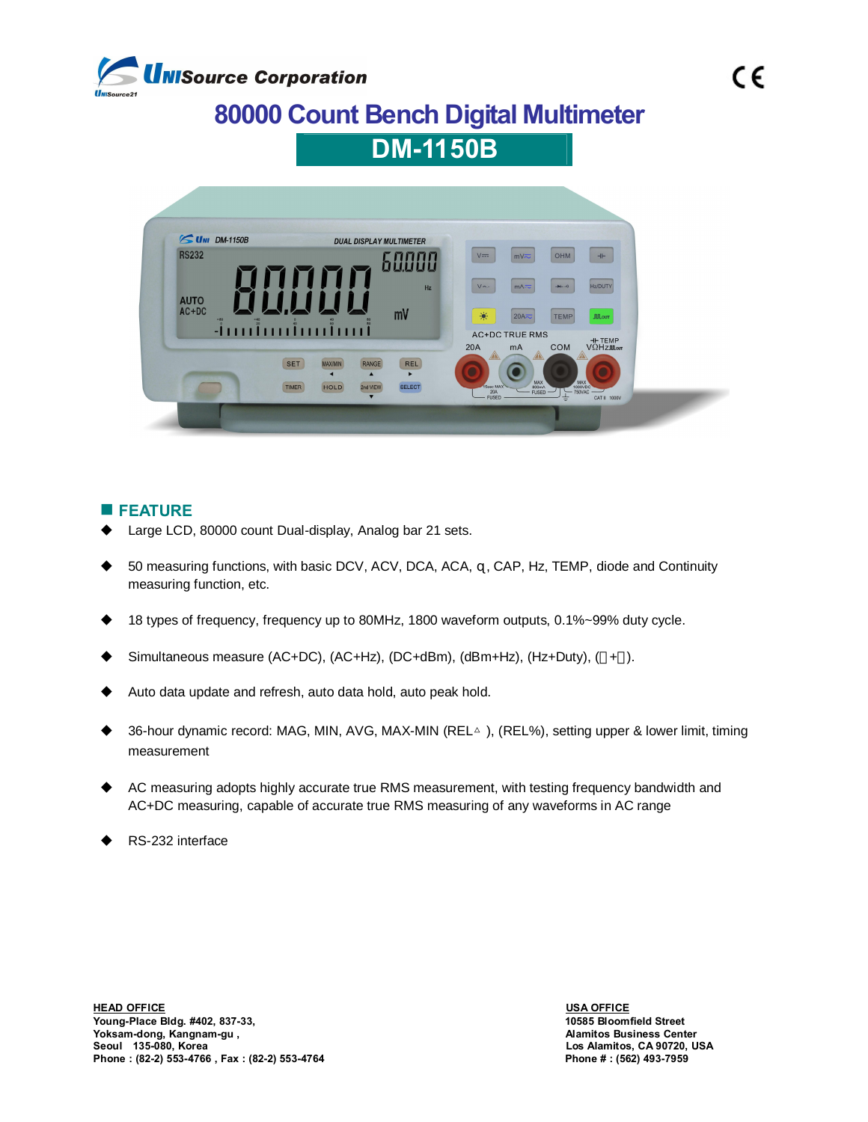

## **80000 Count Bench Digital Multimeter**



## **n** FEATURE

- Large LCD, 80000 count Dual-display, Analog bar 21 sets.
- 50 measuring functions, with basic DCV, ACV, DCA, ACA, , CAP, Hz, TEMP, diode and Continuity measuring function, etc.
- 18 types of frequency, frequency up to 80MHz, 1800 waveform outputs, 0.1%~99% duty cycle.
- Simultaneous measure (AC+DC), (AC+Hz), (DC+dBm), (dBm+Hz), (Hz+Duty), (+ ).
- Auto data update and refresh, auto data hold, auto peak hold.
- 36-hour dynamic record: MAG, MIN, AVG, MAX-MIN (REL△), (REL%), setting upper & lower limit, timing measurement
- AC measuring adopts highly accurate true RMS measurement, with testing frequency bandwidth and AC+DC measuring, capable of accurate true RMS measuring of any waveforms in AC range
- RS-232 interface